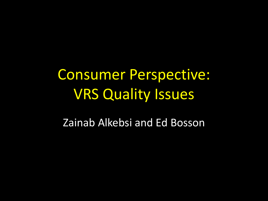# Consumer Perspective: VRS Quality Issues

Zainab Alkebsi and Ed Bosson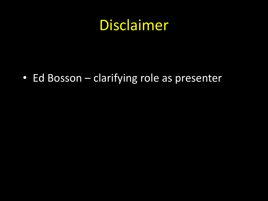#### Disclaimer

• Ed Bosson – clarifying role as presenter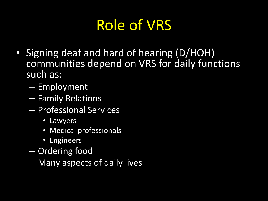## Role of VRS

- Signing deaf and hard of hearing (D/HOH) communities depend on VRS for daily functions such as:
	- Employment
	- Family Relations
	- Professional Services
		- Lawyers
		- Medical professionals
		- Engineers
	- Ordering food
	- Many aspects of daily lives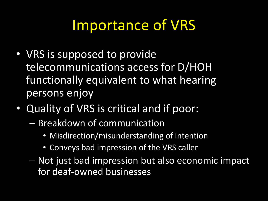## Importance of VRS

- VRS is supposed to provide telecommunications access for D/HOH functionally equivalent to what hearing persons enjoy
- Quality of VRS is critical and if poor:
	- Breakdown of communication
		- Misdirection/misunderstanding of intention
		- Conveys bad impression of the VRS caller
	- Not just bad impression but also economic impact for deaf-owned businesses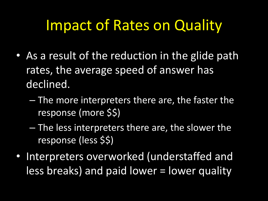### Impact of Rates on Quality

- As a result of the reduction in the glide path rates, the average speed of answer has declined.
	- The more interpreters there are, the faster the response (more \$\$)
	- The less interpreters there are, the slower the response (less \$\$)
- Interpreters overworked (understaffed and less breaks) and paid lower = lower quality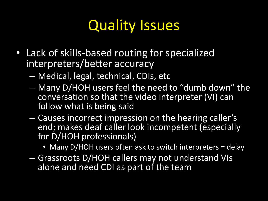### **Quality Issues**

- Lack of skills-based routing for specialized interpreters/better accuracy
	- Medical, legal, technical, CDIs, etc
	- Many D/HOH users feel the need to "dumb down" the conversation so that the video interpreter (VI) can follow what is being said
	- Causes incorrect impression on the hearing caller's end; makes deaf caller look incompetent (especially for D/HOH professionals)
		- Many D/HOH users often ask to switch interpreters = delay
	- Grassroots D/HOH callers may not understand VIs alone and need CDI as part of the team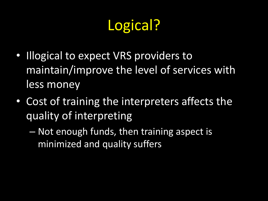# Logical?

- Illogical to expect VRS providers to maintain/improve the level of services with less money
- Cost of training the interpreters affects the quality of interpreting
	- Not enough funds, then training aspect is minimized and quality suffers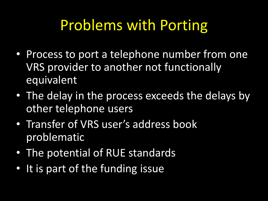### Problems with Porting

- Process to port a telephone number from one VRS provider to another not functionally equivalent
- The delay in the process exceeds the delays by other telephone users
- Transfer of VRS user's address book problematic
- The potential of RUE standards
- It is part of the funding issue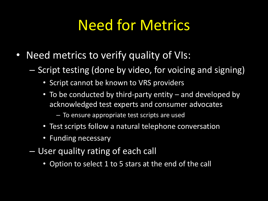## Need for Metrics

- Need metrics to verify quality of VIs:
	- Script testing (done by video, for voicing and signing)
		- Script cannot be known to VRS providers
		- To be conducted by third-party entity and developed by acknowledged test experts and consumer advocates
			- To ensure appropriate test scripts are used
		- Test scripts follow a natural telephone conversation
		- Funding necessary
	- User quality rating of each call
		- Option to select 1 to 5 stars at the end of the call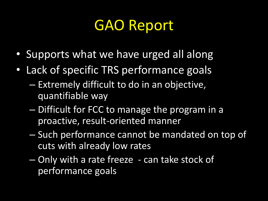#### GAO Report

- Supports what we have urged all along
- Lack of specific TRS performance goals
	- Extremely difficult to do in an objective, quantifiable way
	- Difficult for FCC to manage the program in a proactive, result-oriented manner
	- Such performance cannot be mandated on top of cuts with already low rates
	- Only with a rate freeze can take stock of performance goals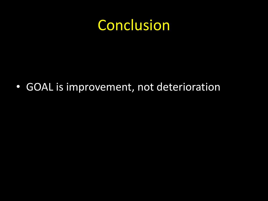#### Conclusion

• GOAL is improvement, not deterioration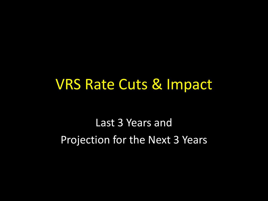#### VRS Rate Cuts & Impact

Last 3 Years and Projection for the Next 3 Years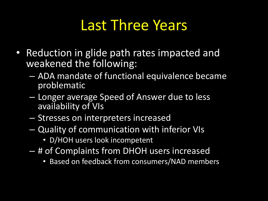### Last Three Years

- Reduction in glide path rates impacted and weakened the following:
	- ADA mandate of functional equivalence became problematic
	- Longer average Speed of Answer due to less availability of VIs
	- Stresses on interpreters increased
	- Quality of communication with inferior VIs
		- D/HOH users look incompetent
	- # of Complaints from DHOH users increased
		- Based on feedback from consumers/NAD members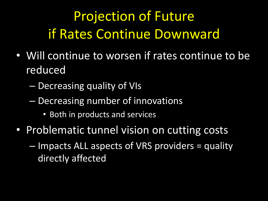## Projection of Future if Rates Continue Downward

- Will continue to worsen if rates continue to be reduced
	- Decreasing quality of VIs
	- Decreasing number of innovations
		- Both in products and services
- Problematic tunnel vision on cutting costs
	- Impacts ALL aspects of VRS providers = quality directly affected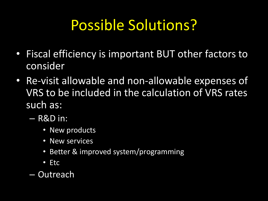## Possible Solutions?

- Fiscal efficiency is important BUT other factors to consider
- Re-visit allowable and non-allowable expenses of VRS to be included in the calculation of VRS rates such as:
	- R&D in:
		- New products
		- New services
		- Better & improved system/programming
		- Etc
	- Outreach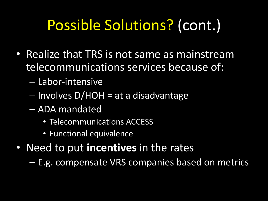# Possible Solutions? (cont.)

- Realize that TRS is not same as mainstream telecommunications services because of:
	- Labor-intensive
	- Involves D/HOH = at a disadvantage
	- ADA mandated
		- Telecommunications ACCESS
		- Functional equivalence
- Need to put **incentives** in the rates

– E.g. compensate VRS companies based on metrics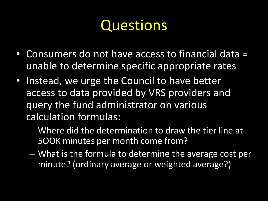## **Questions**

- Consumers do not have access to financial data = unable to determine specific appropriate rates
- Instead, we urge the Council to have better access to data provided by VRS providers and query the fund administrator on various calculation formulas:
	- Where did the determination to draw the tier line at 5OOK minutes per month come from?
	- What is the formula to determine the average cost per minute? (ordinary average or weighted average?)